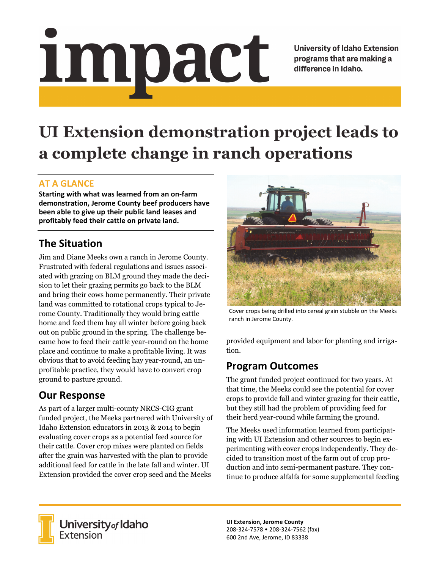# impact

**University of Idaho Extension** programs that are making a difference in Idaho.

# **UI Extension demonstration project leads to a complete change in ranch operations**

### **AT A GLANCE**

**Starting with what was learned from an on‐farm demonstration, Jerome County beef producers have been able to give up their public land leases and profitably feed their cattle on private land.**

# **The Situation**

Jim and Diane Meeks own a ranch in Jerome County. Frustrated with federal regulations and issues associated with grazing on BLM ground they made the decision to let their grazing permits go back to the BLM and bring their cows home permanently. Their private land was committed to rotational crops typical to Jerome County. Traditionally they would bring cattle home and feed them hay all winter before going back out on public ground in the spring. The challenge became how to feed their cattle year-round on the home place and continue to make a profitable living. It was obvious that to avoid feeding hay year-round, an unprofitable practice, they would have to convert crop ground to pasture ground.

# **Our Response**

As part of a larger multi-county NRCS-CIG grant funded project, the Meeks partnered with University of Idaho Extension educators in 2013 & 2014 to begin evaluating cover crops as a potential feed source for their cattle. Cover crop mixes were planted on fields after the grain was harvested with the plan to provide additional feed for cattle in the late fall and winter. UI Extension provided the cover crop seed and the Meeks



Cover crops being drilled into cereal grain stubble on the Meeks ranch in Jerome County.

provided equipment and labor for planting and irrigation.

### **Program Outcomes**

The grant funded project continued for two years. At that time, the Meeks could see the potential for cover crops to provide fall and winter grazing for their cattle, but they still had the problem of providing feed for their herd year-round while farming the ground.

The Meeks used information learned from participating with UI Extension and other sources to begin experimenting with cover crops independently. They decided to transition most of the farm out of crop production and into semi-permanent pasture. They continue to produce alfalfa for some supplemental feeding



University<sub>of</sub> Idaho Extension

**UI Extension, Jerome County** 208‐324‐7578 • 208‐324‐7562 (fax) 600 2nd Ave, Jerome, ID 83338